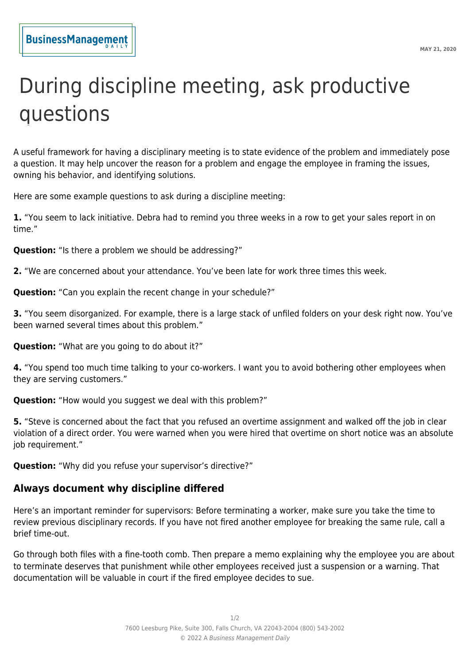## During discipline meeting, ask productive questions

A useful framework for having a disciplinary meeting is to state evidence of the problem and immediately pose a question. It may help uncover the reason for a problem and engage the employee in framing the issues, owning his behavior, and identifying solutions.

Here are some example questions to ask during a discipline meeting:

**1.** "You seem to lack initiative. Debra had to remind you three weeks in a row to get your sales report in on time."

**Question:** "Is there a problem we should be addressing?"

**2.** "We are concerned about your attendance. You've been late for work three times this week.

**Question:** "Can you explain the recent change in your schedule?"

**3.** "You seem disorganized. For example, there is a large stack of unfiled folders on your desk right now. You've been warned several times about this problem."

**Question:** "What are you going to do about it?"

**4.** "You spend too much time talking to your co-workers. I want you to avoid bothering other employees when they are serving customers."

**Question:** "How would you suggest we deal with this problem?"

**5.** "Steve is concerned about the fact that you refused an overtime assignment and walked off the job in clear violation of a direct order. You were warned when you were hired that overtime on short notice was an absolute iob requirement."

**Question:** "Why did you refuse your supervisor's directive?"

## **Always document why discipline differed**

Here's an important reminder for supervisors: Before terminating a worker, make sure you take the time to review previous disciplinary records. If you have not fired another employee for breaking the same rule, call a brief time-out.

Go through both files with a fine-tooth comb. Then prepare a memo explaining why the employee you are about to terminate deserves that punishment while other employees received just a suspension or a warning. That documentation will be valuable in court if the fired employee decides to sue.